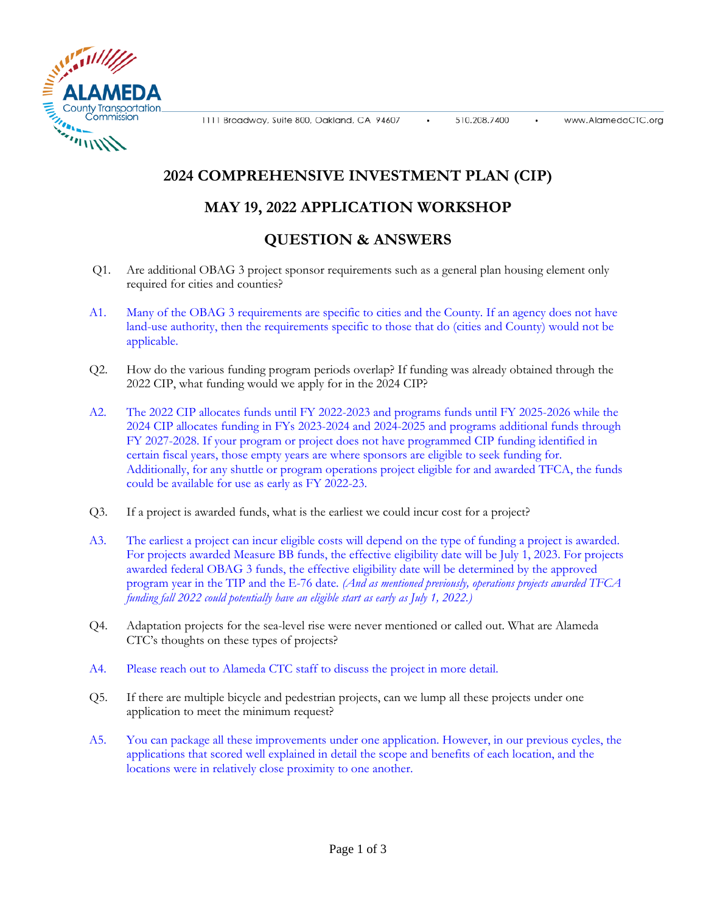1111 Broadway, Suite 800, Oakland, CA 94607



## **2024 COMPREHENSIVE INVESTMENT PLAN (CIP)**

## **MAY 19, 2022 APPLICATION WORKSHOP**

## **QUESTION & ANSWERS**

- Q1. Are additional OBAG 3 project sponsor requirements such as a general plan housing element only required for cities and counties?
- A1. Many of the OBAG 3 requirements are specific to cities and the County. If an agency does not have land-use authority, then the requirements specific to those that do (cities and County) would not be applicable.
- Q2. How do the various funding program periods overlap? If funding was already obtained through the 2022 CIP, what funding would we apply for in the 2024 CIP?
- A2. The 2022 CIP allocates funds until FY 2022-2023 and programs funds until FY 2025-2026 while the 2024 CIP allocates funding in FYs 2023-2024 and 2024-2025 and programs additional funds through FY 2027-2028. If your program or project does not have programmed CIP funding identified in certain fiscal years, those empty years are where sponsors are eligible to seek funding for. Additionally, for any shuttle or program operations project eligible for and awarded TFCA, the funds could be available for use as early as FY 2022-23.
- Q3. If a project is awarded funds, what is the earliest we could incur cost for a project?
- A3. The earliest a project can incur eligible costs will depend on the type of funding a project is awarded. For projects awarded Measure BB funds, the effective eligibility date will be July 1, 2023. For projects awarded federal OBAG 3 funds, the effective eligibility date will be determined by the approved program year in the TIP and the E-76 date. *(And as mentioned previously, operations projects awarded TFCA funding fall 2022 could potentially have an eligible start as early as July 1, 2022.)*
- Q4. Adaptation projects for the sea-level rise were never mentioned or called out. What are Alameda CTC's thoughts on these types of projects?
- A4. Please reach out to Alameda CTC staff to discuss the project in more detail.
- Q5. If there are multiple bicycle and pedestrian projects, can we lump all these projects under one application to meet the minimum request?
- A5. You can package all these improvements under one application. However, in our previous cycles, the applications that scored well explained in detail the scope and benefits of each location, and the locations were in relatively close proximity to one another.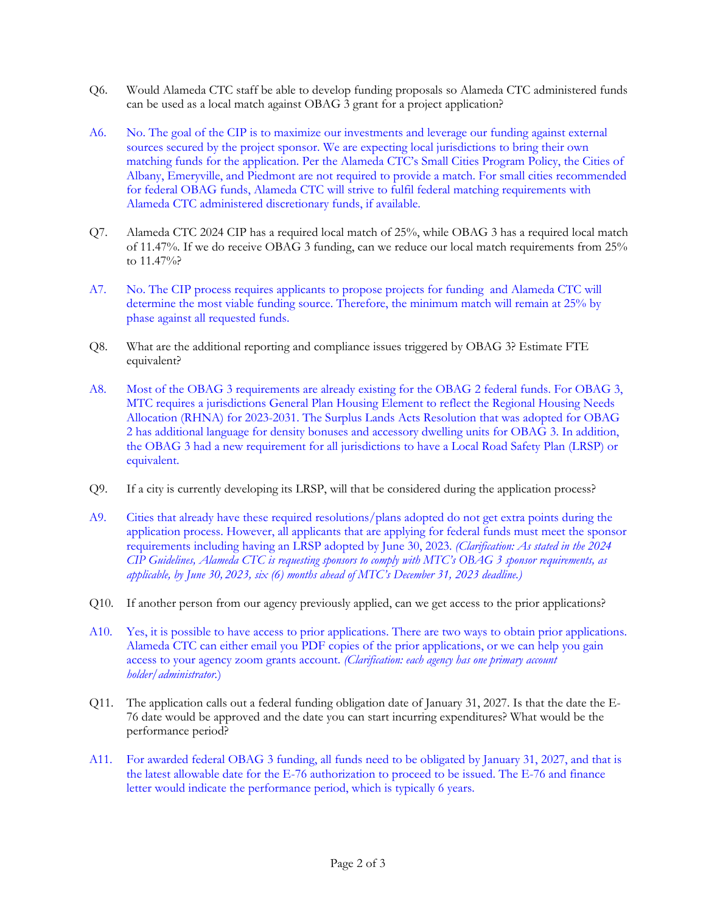- Q6. Would Alameda CTC staff be able to develop funding proposals so Alameda CTC administered funds can be used as a local match against OBAG 3 grant for a project application?
- A6. No. The goal of the CIP is to maximize our investments and leverage our funding against external sources secured by the project sponsor. We are expecting local jurisdictions to bring their own matching funds for the application. Per the Alameda CTC's Small Cities Program Policy, the Cities of Albany, Emeryville, and Piedmont are not required to provide a match. For small cities recommended for federal OBAG funds, Alameda CTC will strive to fulfil federal matching requirements with Alameda CTC administered discretionary funds, if available.
- Q7. Alameda CTC 2024 CIP has a required local match of 25%, while OBAG 3 has a required local match of 11.47%. If we do receive OBAG 3 funding, can we reduce our local match requirements from 25% to 11.47%?
- A7. No. The CIP process requires applicants to propose projects for funding and Alameda CTC will determine the most viable funding source. Therefore, the minimum match will remain at 25% by phase against all requested funds.
- Q8. What are the additional reporting and compliance issues triggered by OBAG 3? Estimate FTE equivalent?
- A8. Most of the OBAG 3 requirements are already existing for the OBAG 2 federal funds. For OBAG 3, MTC requires a jurisdictions General Plan Housing Element to reflect the Regional Housing Needs Allocation (RHNA) for 2023-2031. The Surplus Lands Acts Resolution that was adopted for OBAG 2 has additional language for density bonuses and accessory dwelling units for OBAG 3. In addition, the OBAG 3 had a new requirement for all jurisdictions to have a Local Road Safety Plan (LRSP) or equivalent.
- Q9. If a city is currently developing its LRSP, will that be considered during the application process?
- A9. Cities that already have these required resolutions/plans adopted do not get extra points during the application process. However, all applicants that are applying for federal funds must meet the sponsor requirements including having an LRSP adopted by June 30, 2023. *(Clarification: As stated in the 2024 CIP Guidelines, Alameda CTC is requesting sponsors to comply with MTC's OBAG 3 sponsor requirements, as applicable, by June 30, 2023, six (6) months ahead of MTC's December 31, 2023 deadline.)*
- Q10. If another person from our agency previously applied, can we get access to the prior applications?
- A10. Yes, it is possible to have access to prior applications. There are two ways to obtain prior applications. Alameda CTC can either email you PDF copies of the prior applications, or we can help you gain access to your agency zoom grants account. *(Clarification: each agency has one primary account holder/administrator.*)
- Q11. The application calls out a federal funding obligation date of January 31, 2027. Is that the date the E-76 date would be approved and the date you can start incurring expenditures? What would be the performance period?
- A11. For awarded federal OBAG 3 funding, all funds need to be obligated by January 31, 2027, and that is the latest allowable date for the E-76 authorization to proceed to be issued. The E-76 and finance letter would indicate the performance period, which is typically 6 years.